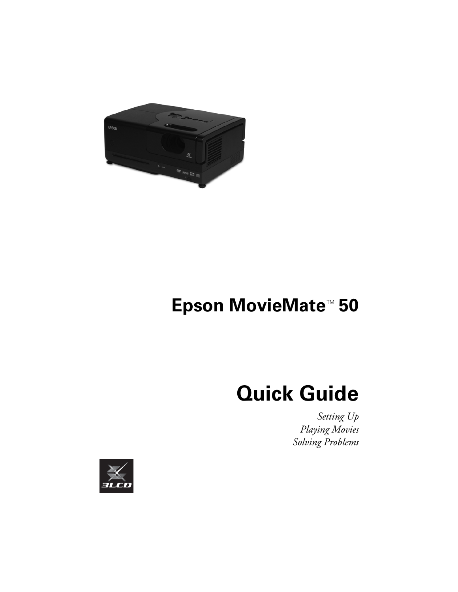

# **Epson MovieMate<sup>™</sup> 50**

# **Quick Guide**

*Setting Up Playing Movies Solving Problems*

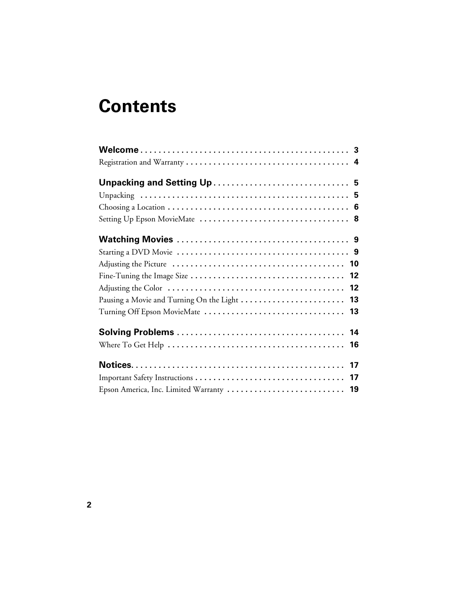# **Contents**

| Epson America, Inc. Limited Warranty  19 |
|------------------------------------------|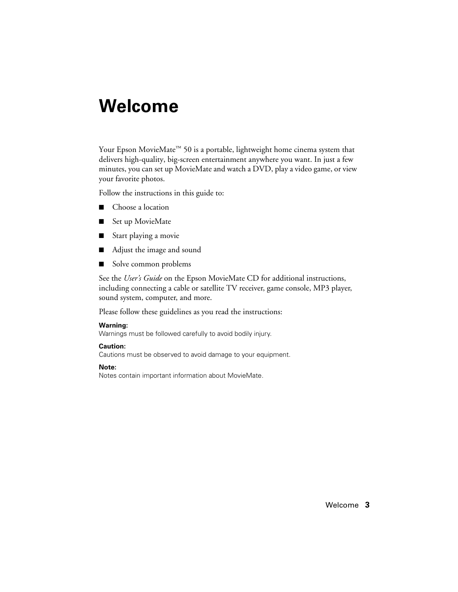# <span id="page-2-0"></span>**Welcome**

Your Epson MovieMate<sup>™</sup> 50 is a portable, lightweight home cinema system that delivers high-quality, big-screen entertainment anywhere you want. In just a few minutes, you can set up MovieMate and watch a DVD, play a video game, or view your favorite photos.

Follow the instructions in this guide to:

- Choose a location
- Set up MovieMate
- Start playing a movie
- Adjust the image and sound
- Solve common problems

See the *User's Guide* on the Epson MovieMate CD for additional instructions, including connecting a cable or satellite TV receiver, game console, MP3 player, sound system, computer, and more.

Please follow these guidelines as you read the instructions:

#### **Warning:**

Warnings must be followed carefully to avoid bodily injury.

#### **Caution:**

Cautions must be observed to avoid damage to your equipment.

#### **Note:**

Notes contain important information about MovieMate.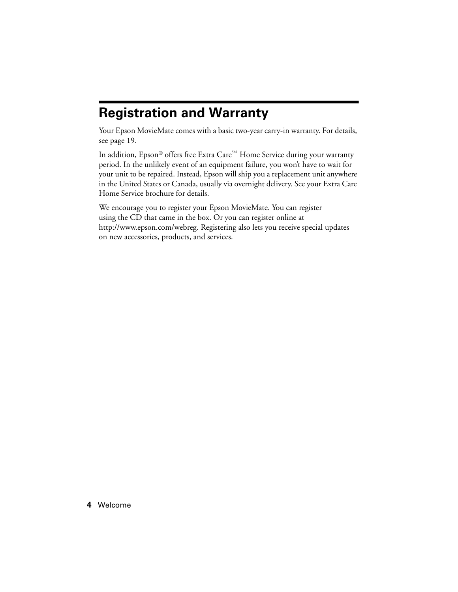## <span id="page-3-0"></span>**Registration and Warranty**

Your Epson MovieMate comes with a basic two-year carry-in warranty. For details, see [page 19](#page-18-0).

In addition, Epson® offers free Extra Care $^{\text{\tiny SM}}$  Home Service during your warranty period. In the unlikely event of an equipment failure, you won't have to wait for your unit to be repaired. Instead, Epson will ship you a replacement unit anywhere in the United States or Canada, usually via overnight delivery. See your Extra Care Home Service brochure for details.

We encourage you to register your Epson MovieMate. You can register using the CD that came in the box. Or you can register online at http://www.epson.com/webreg. Registering also lets you receive special updates on new accessories, products, and services.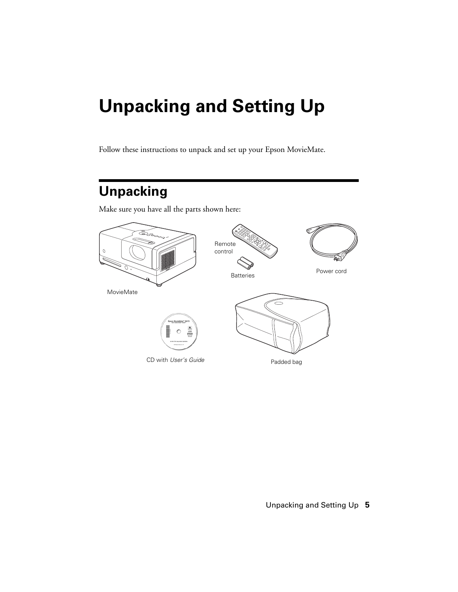# <span id="page-4-0"></span>**Unpacking and Setting Up**

Follow these instructions to unpack and set up your Epson MovieMate.

## **Unpacking**

Make sure you have all the parts shown here:

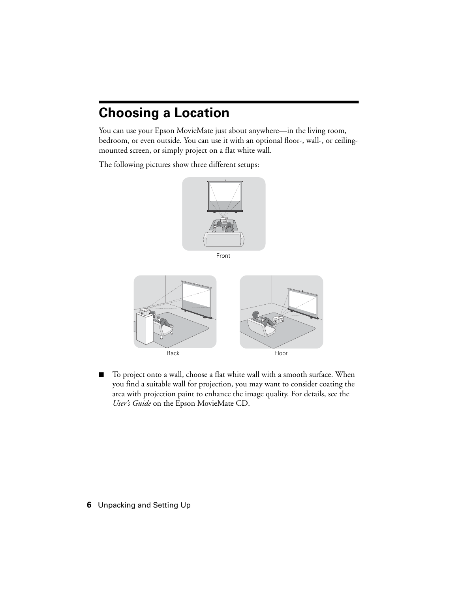# <span id="page-5-0"></span>**Choosing a Location**

You can use your Epson MovieMate just about anywhere—in the living room, bedroom, or even outside. You can use it with an optional floor-, wall-, or ceilingmounted screen, or simply project on a flat white wall.

The following pictures show three different setups:



Front



To project onto a wall, choose a flat white wall with a smooth surface. When you find a suitable wall for projection, you may want to consider coating the area with projection paint to enhance the image quality. For details, see the *User's Guide* on the Epson MovieMate CD.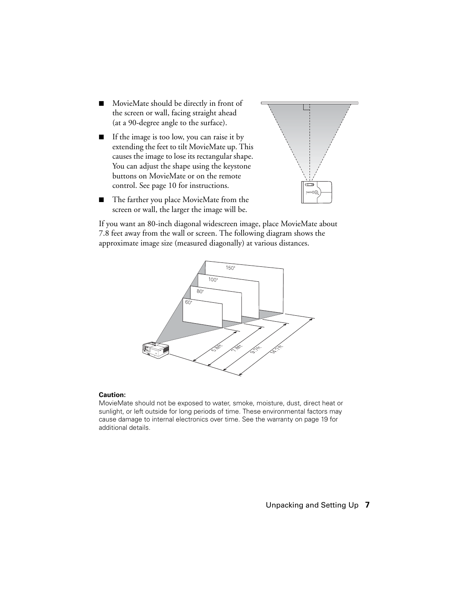- MovieMate should be directly in front of the screen or wall, facing straight ahead (at a 90-degree angle to the surface).
- If the image is too low, you can raise it by extending the feet to tilt MovieMate up. This causes the image to lose its rectangular shape. You can adjust the shape using the keystone buttons on MovieMate or on the remote control. See [page 10](#page-9-0) for instructions.



The farther you place MovieMate from the screen or wall, the larger the image will be.

If you want an 80-inch diagonal widescreen image, place MovieMate about 7.8 feet away from the wall or screen. The following diagram shows the approximate image size (measured diagonally) at various distances.



#### **Caution:**

MovieMate should not be exposed to water, smoke, moisture, dust, direct heat or sunlight, or left outside for long periods of time. These environmental factors may cause damage to internal electronics over time. See the warranty on [page 19](#page-18-0) for additional details.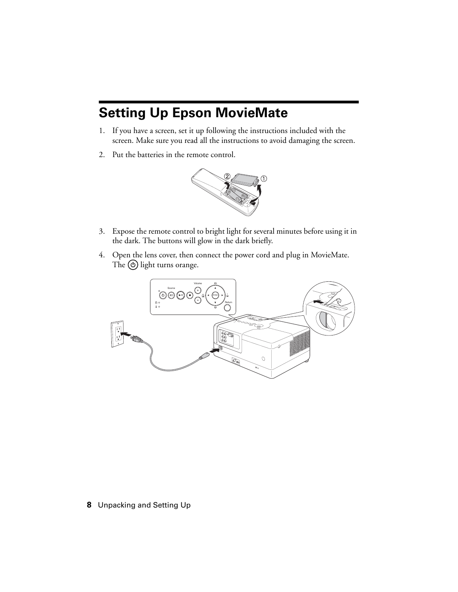# <span id="page-7-0"></span>**Setting Up Epson MovieMate**

- 1. If you have a screen, set it up following the instructions included with the screen. Make sure you read all the instructions to avoid damaging the screen.
- 2. Put the batteries in the remote control.



- 3. Expose the remote control to bright light for several minutes before using it in the dark. The buttons will glow in the dark briefly.
- 4. Open the lens cover, then connect the power cord and plug in MovieMate. The  $\circledcirc$  light turns orange.

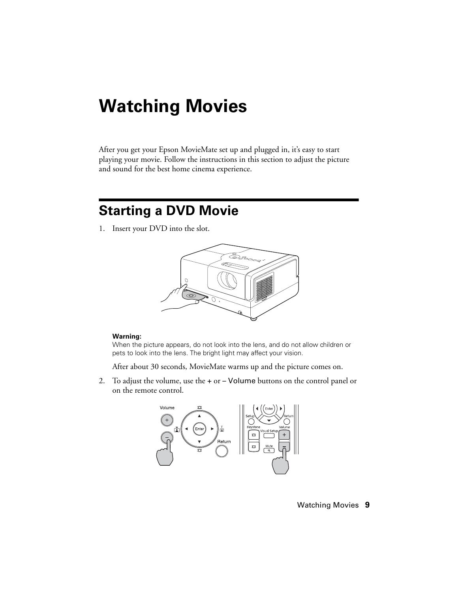# <span id="page-8-0"></span>**Watching Movies**

After you get your Epson MovieMate set up and plugged in, it's easy to start playing your movie. Follow the instructions in this section to adjust the picture and sound for the best home cinema experience.

## **Starting a DVD Movie**

1. Insert your DVD into the slot.



#### **Warning:**

When the picture appears, do not look into the lens, and do not allow children or pets to look into the lens. The bright light may affect your vision.

After about 30 seconds, MovieMate warms up and the picture comes on.

2. To adjust the volume, use the + or – Volume buttons on the control panel or on the remote control.

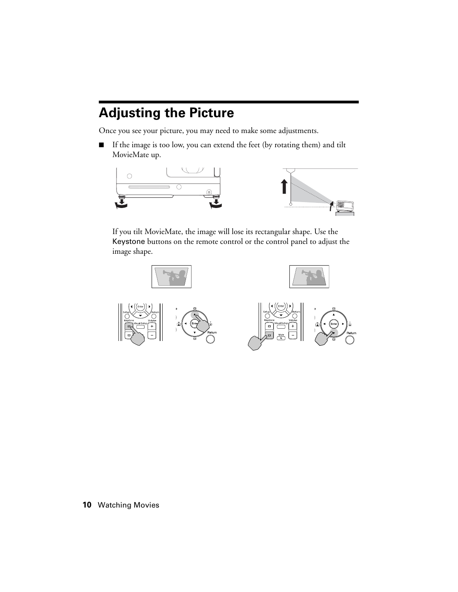## <span id="page-9-0"></span>**Adjusting the Picture**

Once you see your picture, you may need to make some adjustments.

■ If the image is too low, you can extend the feet (by rotating them) and tilt MovieMate up.



If you tilt MovieMate, the image will lose its rectangular shape. Use the Keystone buttons on the remote control or the control panel to adjust the image shape.

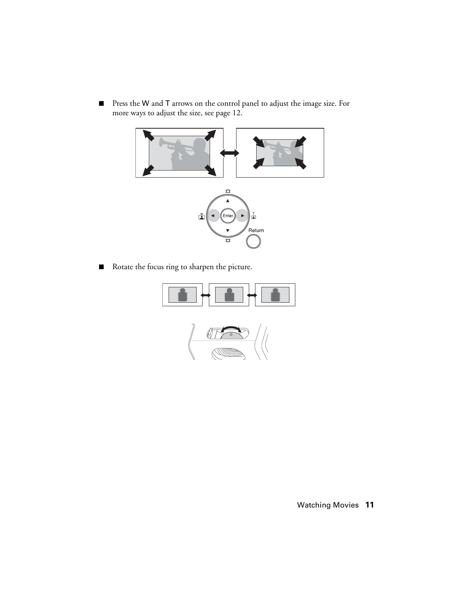<span id="page-10-0"></span>■ Press the W and T arrows on the control panel to adjust the image size. For more ways to adjust the size, see [page 12.](#page-11-0)



■ Rotate the focus ring to sharpen the picture.



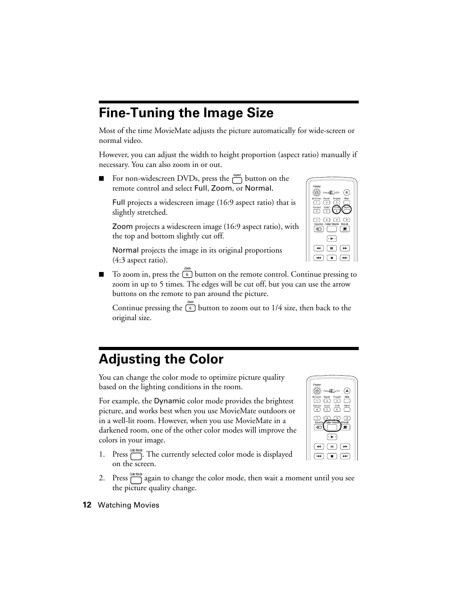# <span id="page-11-0"></span>**Fine-Tuning the Image Size**

Most of the time MovieMate adjusts the picture automatically for wide-screen or normal video.

However, you can adjust the width to height proportion (aspect ratio) manually if necessary. You can also zoom in or out.

For non-widescreen DVDs, press the  $\overline{\bigcap}$  button on the remote control and select Full, Zoom, or Normal.

Full projects a widescreen image (16:9 aspect ratio) that is slightly stretched.

Zoom projects a widescreen image (16:9 aspect ratio), with the top and bottom slightly cut off.

Normal projects the image in its original proportions (4:3 aspect ratio).

 $\Box$  To zoom in, press the  $\Box$  button on the remote control. Continue pressing to zoom in up to 5 times. The edges will be cut off, but you can use the arrow buttons on the remote to pan around the picture.

Continue pressing the  $\boxed{6}$  button to zoom out to 1/4 size, then back to the original size.

# **Adjusting the Color**

You can change the color mode to optimize picture quality based on the lighting conditions in the room.

For example, the Dynamic color mode provides the brightest picture, and works best when you use MovieMate outdoors or in a well-lit room. However, when you use MovieMate in a darkened room, one of the other color modes will improve the colors in your image.

- 1. Press  $\sum_{n=1}^{\text{quantum}}$ . The currently selected color mode is displayed on the screen.
- 2. Press  $\Box$  again to change the color mode, then wait a moment until you see the picture quality change.



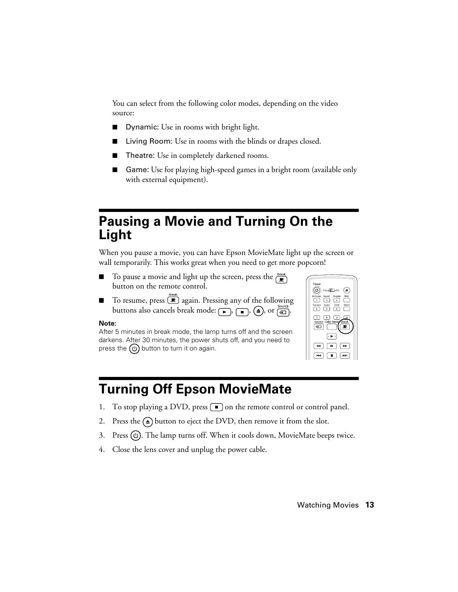<span id="page-12-0"></span>You can select from the following color modes, depending on the video source:

- Dynamic: Use in rooms with bright light.
- Living Room: Use in rooms with the blinds or drapes closed.
- Theatre: Use in completely darkened rooms.
- Game: Use for playing high-speed games in a bright room (available only with external equipment).

## **Pausing a Movie and Turning On the Light**

When you pause a movie, you can have Epson MovieMate light up the screen or wall temporarily. This works great when you need to get more popcorn!

- To pause a movie and light up the screen, press the  $\mathbb{R}^{\text{Back}}$ button on the remote control.
- To resume, press  $\textcircled{\textcircled{\textcirc}}$  again. Pressing any of the following buttons also cancels break mode:  $\boxed{\bullet}$ ,  $\boxed{\bullet}$ ,  $\boxed{\bullet}$ , or  $\boxed{\oplus}$ .

#### **Note:**

After 5 minutes in break mode, the lamp turns off and the screen darkens. After 30 minutes, the power shuts off, and you need to press the  $\phi$  button to turn it on again.

| Power<br>Func. 11 123<br>Sleep<br>OnScreen<br>Repeat<br>Program<br>$\overline{1}$<br>$\overline{z}$<br>$\overline{\phantom{a}}$<br>Zoom<br>Surround<br>Sound<br>Aspect<br>$\sim$<br>- 6<br>-5 |
|-----------------------------------------------------------------------------------------------------------------------------------------------------------------------------------------------|
| $\overline{7}$<br>8<br>9<br>$\ddot{\rm{o}}$<br>Source Color Mode Break<br>$\pm$<br>$\circ \blacktriangleright \circ$                                                                          |
|                                                                                                                                                                                               |

# **Turning Off Epson MovieMate**

- 1. To stop playing a DVD, press  $\Box$  on the remote control or control panel.
- 2. Press the  $\textcircled{a}$  button to eject the DVD, then remove it from the slot.
- 3. Press  $\circled{0}$ . The lamp turns off. When it cools down, MovieMate beeps twice.
- 4. Close the lens cover and unplug the power cable.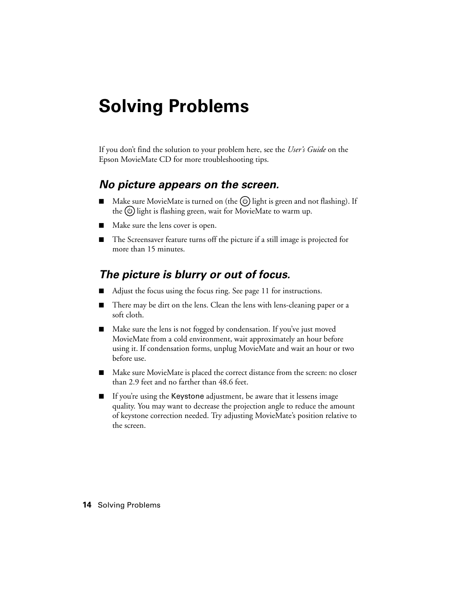# <span id="page-13-0"></span>**Solving Problems**

If you don't find the solution to your problem here, see the *User's Guide* on the Epson MovieMate CD for more troubleshooting tips.

### *No picture appears on the screen.*

- Make sure MovieMate is turned on (the  $\circledcirc$ ) light is green and not flashing). If the  $\circled{1}$  light is flashing green, wait for MovieMate to warm up.
- Make sure the lens cover is open.
- The Screensaver feature turns off the picture if a still image is projected for more than 15 minutes.

## *The picture is blurry or out of focus.*

- Adjust the focus using the focus ring. See [page 11](#page-10-0) for instructions.
- There may be dirt on the lens. Clean the lens with lens-cleaning paper or a soft cloth.
- Make sure the lens is not fogged by condensation. If you've just moved MovieMate from a cold environment, wait approximately an hour before using it. If condensation forms, unplug MovieMate and wait an hour or two before use.
- Make sure MovieMate is placed the correct distance from the screen: no closer than 2.9 feet and no farther than 48.6 feet.
- If you're using the Keystone adjustment, be aware that it lessens image quality. You may want to decrease the projection angle to reduce the amount of keystone correction needed. Try adjusting MovieMate's position relative to the screen.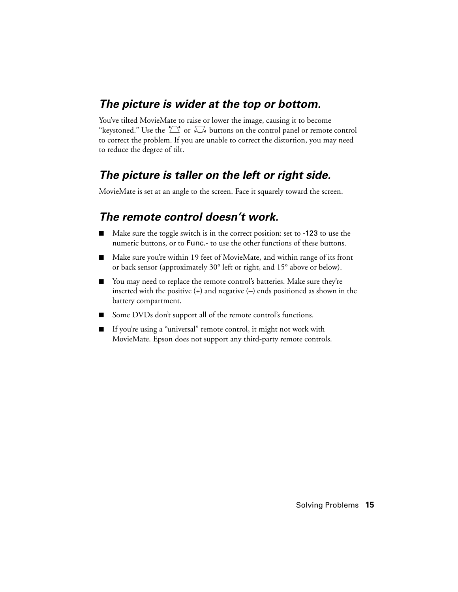## *The picture is wider at the top or bottom.*

You've tilted MovieMate to raise or lower the image, causing it to become "keystoned." Use the  $\sum$  or  $\sum$  buttons on the control panel or remote control to correct the problem. If you are unable to correct the distortion, you may need to reduce the degree of tilt.

## *The picture is taller on the left or right side.*

MovieMate is set at an angle to the screen. Face it squarely toward the screen.

## *The remote control doesn't work.*

- Make sure the toggle switch is in the correct position: set to -123 to use the numeric buttons, or to Func.- to use the other functions of these buttons.
- Make sure you're within 19 feet of MovieMate, and within range of its front or back sensor (approximately 30° left or right, and 15° above or below).
- You may need to replace the remote control's batteries. Make sure they're inserted with the positive (+) and negative (–) ends positioned as shown in the battery compartment.
- Some DVDs don't support all of the remote control's functions.
- If you're using a "universal" remote control, it might not work with MovieMate. Epson does not support any third-party remote controls.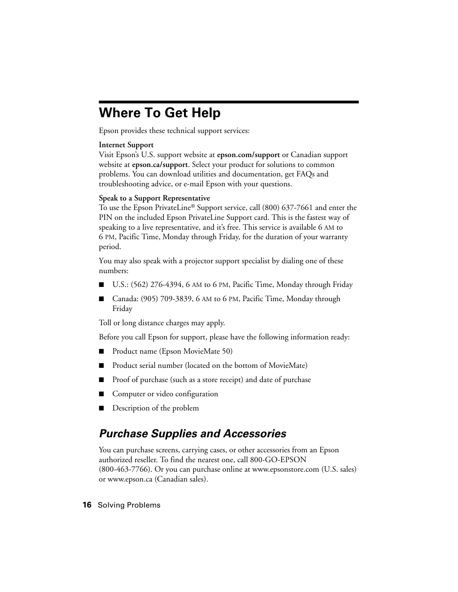# <span id="page-15-0"></span>**Where To Get Help**

Epson provides these technical support services:

### **Internet Support**

Visit Epson's U.S. support website at **epson.com/support** or Canadian support website at **epson.ca/support**. Select your product for solutions to common problems. You can download utilities and documentation, get FAQs and troubleshooting advice, or e-mail Epson with your questions.

### **Speak to a Support Representative**

To use the Epson PrivateLine® Support service, call (800) 637-7661 and enter the PIN on the included Epson PrivateLine Support card. This is the fastest way of speaking to a live representative, and it's free. This service is available 6 AM to 6 PM, Pacific Time, Monday through Friday, for the duration of your warranty period.

You may also speak with a projector support specialist by dialing one of these numbers:

- U.S.: (562) 276-4394, 6 AM to 6 PM, Pacific Time, Monday through Friday
- Canada: (905) 709-3839, 6 AM to 6 PM, Pacific Time, Monday through Friday

Toll or long distance charges may apply.

Before you call Epson for support, please have the following information ready:

- Product name (Epson MovieMate 50)
- Product serial number (located on the bottom of MovieMate)
- Proof of purchase (such as a store receipt) and date of purchase
- Computer or video configuration
- Description of the problem

## *Purchase Supplies and Accessories*

You can purchase screens, carrying cases, or other accessories from an Epson authorized reseller. To find the nearest one, call 800-GO-EPSON (800-463-7766). Or you can purchase online at www.epsonstore.com (U.S. sales) or www.epson.ca (Canadian sales).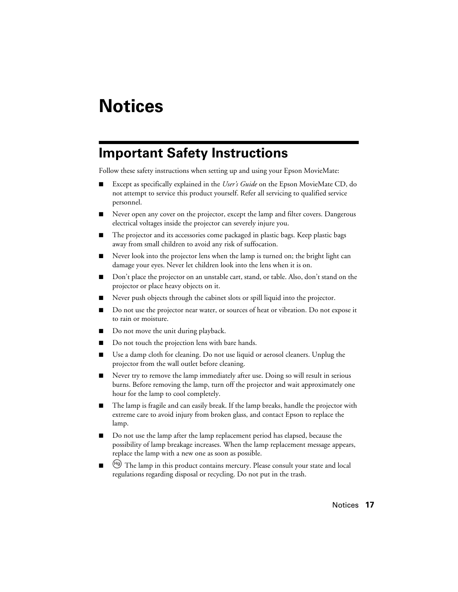# <span id="page-16-0"></span>**Notices**

## **Important Safety Instructions**

Follow these safety instructions when setting up and using your Epson MovieMate:

- Except as specifically explained in the *User's Guide* on the Epson MovieMate CD, do not attempt to service this product yourself. Refer all servicing to qualified service personnel.
- Never open any cover on the projector, except the lamp and filter covers. Dangerous electrical voltages inside the projector can severely injure you.
- The projector and its accessories come packaged in plastic bags. Keep plastic bags away from small children to avoid any risk of suffocation.
- Never look into the projector lens when the lamp is turned on; the bright light can damage your eyes. Never let children look into the lens when it is on.
- Don't place the projector on an unstable cart, stand, or table. Also, don't stand on the projector or place heavy objects on it.
- Never push objects through the cabinet slots or spill liquid into the projector.
- Do not use the projector near water, or sources of heat or vibration. Do not expose it to rain or moisture.
- Do not move the unit during playback.
- Do not touch the projection lens with bare hands.
- Use a damp cloth for cleaning. Do not use liquid or aerosol cleaners. Unplug the projector from the wall outlet before cleaning.
- Never try to remove the lamp immediately after use. Doing so will result in serious burns. Before removing the lamp, turn off the projector and wait approximately one hour for the lamp to cool completely.
- The lamp is fragile and can easily break. If the lamp breaks, handle the projector with extreme care to avoid injury from broken glass, and contact Epson to replace the lamp.
- Do not use the lamp after the lamp replacement period has elapsed, because the possibility of lamp breakage increases. When the lamp replacement message appears, replace the lamp with a new one as soon as possible.
- $^{(Hg)}$  The lamp in this product contains mercury. Please consult your state and local regulations regarding disposal or recycling. Do not put in the trash.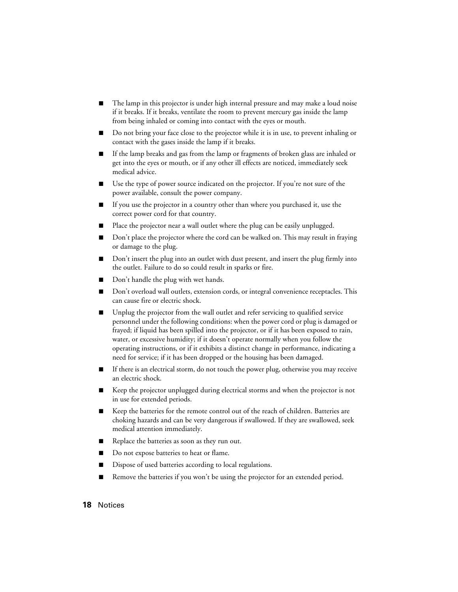- The lamp in this projector is under high internal pressure and may make a loud noise if it breaks. If it breaks, ventilate the room to prevent mercury gas inside the lamp from being inhaled or coming into contact with the eyes or mouth.
- Do not bring your face close to the projector while it is in use, to prevent inhaling or contact with the gases inside the lamp if it breaks.
- If the lamp breaks and gas from the lamp or fragments of broken glass are inhaled or get into the eyes or mouth, or if any other ill effects are noticed, immediately seek medical advice.
- Use the type of power source indicated on the projector. If you're not sure of the power available, consult the power company.
- If you use the projector in a country other than where you purchased it, use the correct power cord for that country.
- Place the projector near a wall outlet where the plug can be easily unplugged.
- Don't place the projector where the cord can be walked on. This may result in fraying or damage to the plug.
- Don't insert the plug into an outlet with dust present, and insert the plug firmly into the outlet. Failure to do so could result in sparks or fire.
- Don't handle the plug with wet hands.
- Don't overload wall outlets, extension cords, or integral convenience receptacles. This can cause fire or electric shock.
- Unplug the projector from the wall outlet and refer servicing to qualified service personnel under the following conditions: when the power cord or plug is damaged or frayed; if liquid has been spilled into the projector, or if it has been exposed to rain, water, or excessive humidity; if it doesn't operate normally when you follow the operating instructions, or if it exhibits a distinct change in performance, indicating a need for service; if it has been dropped or the housing has been damaged.
- If there is an electrical storm, do not touch the power plug, otherwise you may receive an electric shock.
- Keep the projector unplugged during electrical storms and when the projector is not in use for extended periods.
- Keep the batteries for the remote control out of the reach of children. Batteries are choking hazards and can be very dangerous if swallowed. If they are swallowed, seek medical attention immediately.
- Replace the batteries as soon as they run out.
- Do not expose batteries to heat or flame.
- Dispose of used batteries according to local regulations.
- Remove the batteries if you won't be using the projector for an extended period.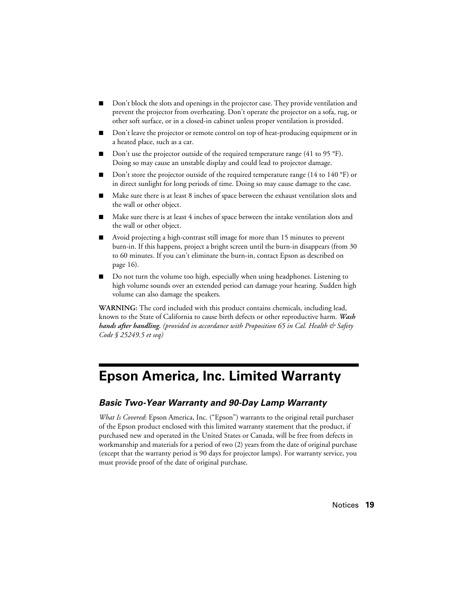- <span id="page-18-0"></span>Don't block the slots and openings in the projector case. They provide ventilation and prevent the projector from overheating. Don't operate the projector on a sofa, rug, or other soft surface, or in a closed-in cabinet unless proper ventilation is provided.
- Don't leave the projector or remote control on top of heat-producing equipment or in a heated place, such as a car.
- $\Box$  Don't use the projector outside of the required temperature range (41 to 95 °F). Doing so may cause an unstable display and could lead to projector damage.
- Don't store the projector outside of the required temperature range (14 to 140  $\degree$ F) or in direct sunlight for long periods of time. Doing so may cause damage to the case.
- Make sure there is at least 8 inches of space between the exhaust ventilation slots and the wall or other object.
- Make sure there is at least 4 inches of space between the intake ventilation slots and the wall or other object.
- Avoid projecting a high-contrast still image for more than 15 minutes to prevent burn-in. If this happens, project a bright screen until the burn-in disappears (from 30 to 60 minutes. If you can't eliminate the burn-in, contact Epson as described on [page 16](#page-15-0)).
- Do not turn the volume too high, especially when using headphones. Listening to high volume sounds over an extended period can damage your hearing. Sudden high volume can also damage the speakers.

**WARNING:** The cord included with this product contains chemicals, including lead, known to the State of California to cause birth defects or other reproductive harm. *Wash hands after handling. (provided in accordance with Proposition 65 in Cal. Health & Safety Code § 25249.5 et seq)*

## **Epson America, Inc. Limited Warranty**

### *Basic Two-Year Warranty and 90-Day Lamp Warranty*

*What Is Covered*: Epson America, Inc. ("Epson") warrants to the original retail purchaser of the Epson product enclosed with this limited warranty statement that the product, if purchased new and operated in the United States or Canada, will be free from defects in workmanship and materials for a period of two (2) years from the date of original purchase (except that the warranty period is 90 days for projector lamps). For warranty service, you must provide proof of the date of original purchase.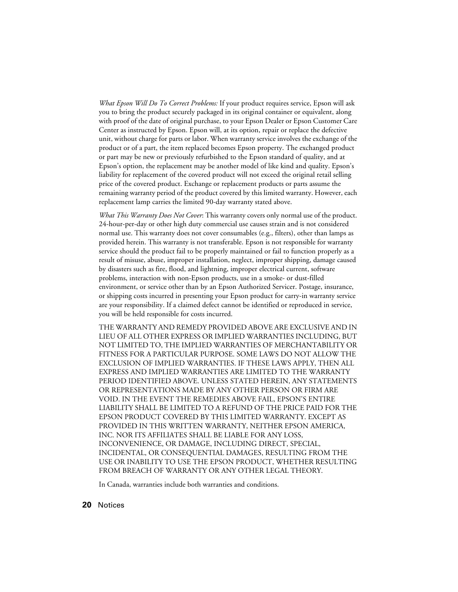*What Epson Will Do To Correct Problems:* If your product requires service, Epson will ask you to bring the product securely packaged in its original container or equivalent, along with proof of the date of original purchase, to your Epson Dealer or Epson Customer Care Center as instructed by Epson. Epson will, at its option, repair or replace the defective unit, without charge for parts or labor. When warranty service involves the exchange of the product or of a part, the item replaced becomes Epson property. The exchanged product or part may be new or previously refurbished to the Epson standard of quality, and at Epson's option, the replacement may be another model of like kind and quality. Epson's liability for replacement of the covered product will not exceed the original retail selling price of the covered product. Exchange or replacement products or parts assume the remaining warranty period of the product covered by this limited warranty. However, each replacement lamp carries the limited 90-day warranty stated above.

*What This Warranty Does Not Cover*: This warranty covers only normal use of the product. 24-hour-per-day or other high duty commercial use causes strain and is not considered normal use. This warranty does not cover consumables (e.g., filters), other than lamps as provided herein. This warranty is not transferable. Epson is not responsible for warranty service should the product fail to be properly maintained or fail to function properly as a result of misuse, abuse, improper installation, neglect, improper shipping, damage caused by disasters such as fire, flood, and lightning, improper electrical current, software problems, interaction with non-Epson products, use in a smoke- or dust-filled environment, or service other than by an Epson Authorized Servicer. Postage, insurance, or shipping costs incurred in presenting your Epson product for carry-in warranty service are your responsibility. If a claimed defect cannot be identified or reproduced in service, you will be held responsible for costs incurred.

THE WARRANTY AND REMEDY PROVIDED ABOVE ARE EXCLUSIVE AND IN LIEU OF ALL OTHER EXPRESS OR IMPLIED WARRANTIES INCLUDING, BUT NOT LIMITED TO, THE IMPLIED WARRANTIES OF MERCHANTABILITY OR FITNESS FOR A PARTICULAR PURPOSE. SOME LAWS DO NOT ALLOW THE EXCLUSION OF IMPLIED WARRANTIES. IF THESE LAWS APPLY, THEN ALL EXPRESS AND IMPLIED WARRANTIES ARE LIMITED TO THE WARRANTY PERIOD IDENTIFIED ABOVE. UNLESS STATED HEREIN, ANY STATEMENTS OR REPRESENTATIONS MADE BY ANY OTHER PERSON OR FIRM ARE VOID. IN THE EVENT THE REMEDIES ABOVE FAIL, EPSON'S ENTIRE LIABILITY SHALL BE LIMITED TO A REFUND OF THE PRICE PAID FOR THE EPSON PRODUCT COVERED BY THIS LIMITED WARRANTY. EXCEPT AS PROVIDED IN THIS WRITTEN WARRANTY, NEITHER EPSON AMERICA, INC. NOR ITS AFFILIATES SHALL BE LIABLE FOR ANY LOSS, INCONVENIENCE, OR DAMAGE, INCLUDING DIRECT, SPECIAL, INCIDENTAL, OR CONSEQUENTIAL DAMAGES, RESULTING FROM THE USE OR INABILITY TO USE THE EPSON PRODUCT, WHETHER RESULTING FROM BREACH OF WARRANTY OR ANY OTHER LEGAL THEORY.

In Canada, warranties include both warranties and conditions.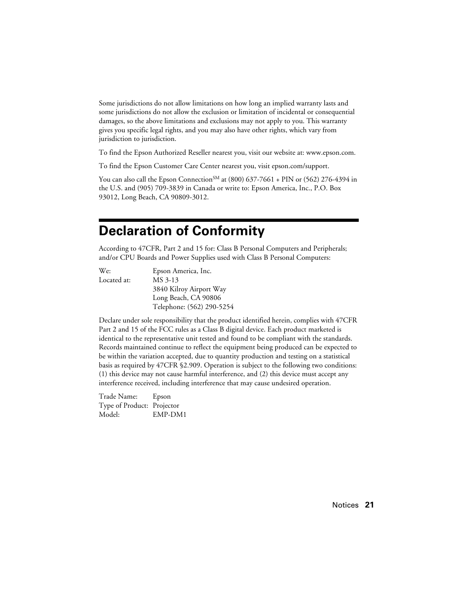Some jurisdictions do not allow limitations on how long an implied warranty lasts and some jurisdictions do not allow the exclusion or limitation of incidental or consequential damages, so the above limitations and exclusions may not apply to you. This warranty gives you specific legal rights, and you may also have other rights, which vary from jurisdiction to jurisdiction.

To find the Epson Authorized Reseller nearest you, visit our website at: www.epson.com.

To find the Epson Customer Care Center nearest you, visit epson.com/support.

You can also call the Epson Connection<sup>SM</sup> at (800)  $637-7661 + PIN$  or (562) 276-4394 in the U.S. and (905) 709-3839 in Canada or write to: Epson America, Inc., P.O. Box 93012, Long Beach, CA 90809-3012.

## **Declaration of Conformity**

According to 47CFR, Part 2 and 15 for: Class B Personal Computers and Peripherals; and/or CPU Boards and Power Supplies used with Class B Personal Computers:

| We:         | Epson America, Inc.       |
|-------------|---------------------------|
| Located at: | MS 3-13                   |
|             | 3840 Kilroy Airport Way   |
|             | Long Beach, CA 90806      |
|             | Telephone: (562) 290-5254 |

Declare under sole responsibility that the product identified herein, complies with 47CFR Part 2 and 15 of the FCC rules as a Class B digital device. Each product marketed is identical to the representative unit tested and found to be compliant with the standards. Records maintained continue to reflect the equipment being produced can be expected to be within the variation accepted, due to quantity production and testing on a statistical basis as required by 47CFR §2.909. Operation is subject to the following two conditions: (1) this device may not cause harmful interference, and (2) this device must accept any interference received, including interference that may cause undesired operation.

Trade Name: Epson Type of Product: Projector Model: EMP-DM1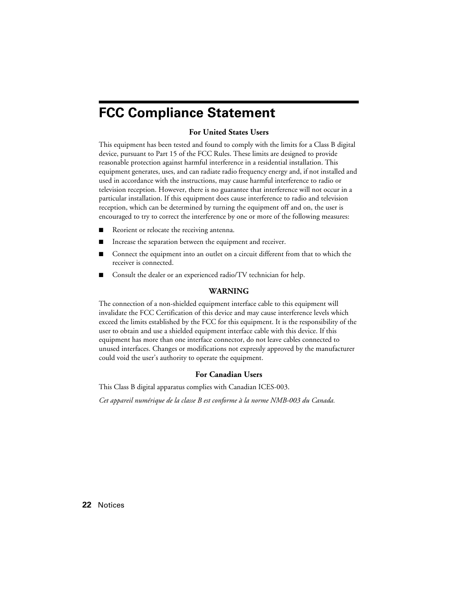## **FCC Compliance Statement**

### **For United States Users**

This equipment has been tested and found to comply with the limits for a Class B digital device, pursuant to Part 15 of the FCC Rules. These limits are designed to provide reasonable protection against harmful interference in a residential installation. This equipment generates, uses, and can radiate radio frequency energy and, if not installed and used in accordance with the instructions, may cause harmful interference to radio or television reception. However, there is no guarantee that interference will not occur in a particular installation. If this equipment does cause interference to radio and television reception, which can be determined by turning the equipment off and on, the user is encouraged to try to correct the interference by one or more of the following measures:

- Reorient or relocate the receiving antenna.
- Increase the separation between the equipment and receiver.
- Connect the equipment into an outlet on a circuit different from that to which the receiver is connected.
- Consult the dealer or an experienced radio/TV technician for help.

#### **WARNING**

The connection of a non-shielded equipment interface cable to this equipment will invalidate the FCC Certification of this device and may cause interference levels which exceed the limits established by the FCC for this equipment. It is the responsibility of the user to obtain and use a shielded equipment interface cable with this device. If this equipment has more than one interface connector, do not leave cables connected to unused interfaces. Changes or modifications not expressly approved by the manufacturer could void the user's authority to operate the equipment.

### **For Canadian Users**

This Class B digital apparatus complies with Canadian ICES-003.

*Cet appareil numérique de la classe B est conforme à la norme NMB-003 du Canada.*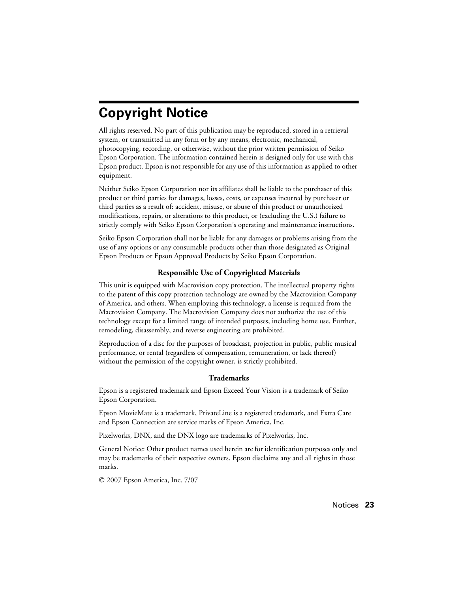# **Copyright Notice**

All rights reserved. No part of this publication may be reproduced, stored in a retrieval system, or transmitted in any form or by any means, electronic, mechanical, photocopying, recording, or otherwise, without the prior written permission of Seiko Epson Corporation. The information contained herein is designed only for use with this Epson product. Epson is not responsible for any use of this information as applied to other equipment.

Neither Seiko Epson Corporation nor its affiliates shall be liable to the purchaser of this product or third parties for damages, losses, costs, or expenses incurred by purchaser or third parties as a result of: accident, misuse, or abuse of this product or unauthorized modifications, repairs, or alterations to this product, or (excluding the U.S.) failure to strictly comply with Seiko Epson Corporation's operating and maintenance instructions.

Seiko Epson Corporation shall not be liable for any damages or problems arising from the use of any options or any consumable products other than those designated as Original Epson Products or Epson Approved Products by Seiko Epson Corporation.

### **Responsible Use of Copyrighted Materials**

This unit is equipped with Macrovision copy protection. The intellectual property rights to the patent of this copy protection technology are owned by the Macrovision Company of America, and others. When employing this technology, a license is required from the Macrovision Company. The Macrovision Company does not authorize the use of this technology except for a limited range of intended purposes, including home use. Further, remodeling, disassembly, and reverse engineering are prohibited.

Reproduction of a disc for the purposes of broadcast, projection in public, public musical performance, or rental (regardless of compensation, remuneration, or lack thereof) without the permission of the copyright owner, is strictly prohibited.

### **Trademarks**

Epson is a registered trademark and Epson Exceed Your Vision is a trademark of Seiko Epson Corporation.

Epson MovieMate is a trademark, PrivateLine is a registered trademark, and Extra Care and Epson Connection are service marks of Epson America, Inc.

Pixelworks, DNX, and the DNX logo are trademarks of Pixelworks, Inc.

General Notice: Other product names used herein are for identification purposes only and may be trademarks of their respective owners. Epson disclaims any and all rights in those marks.

© 2007 Epson America, Inc. 7/07